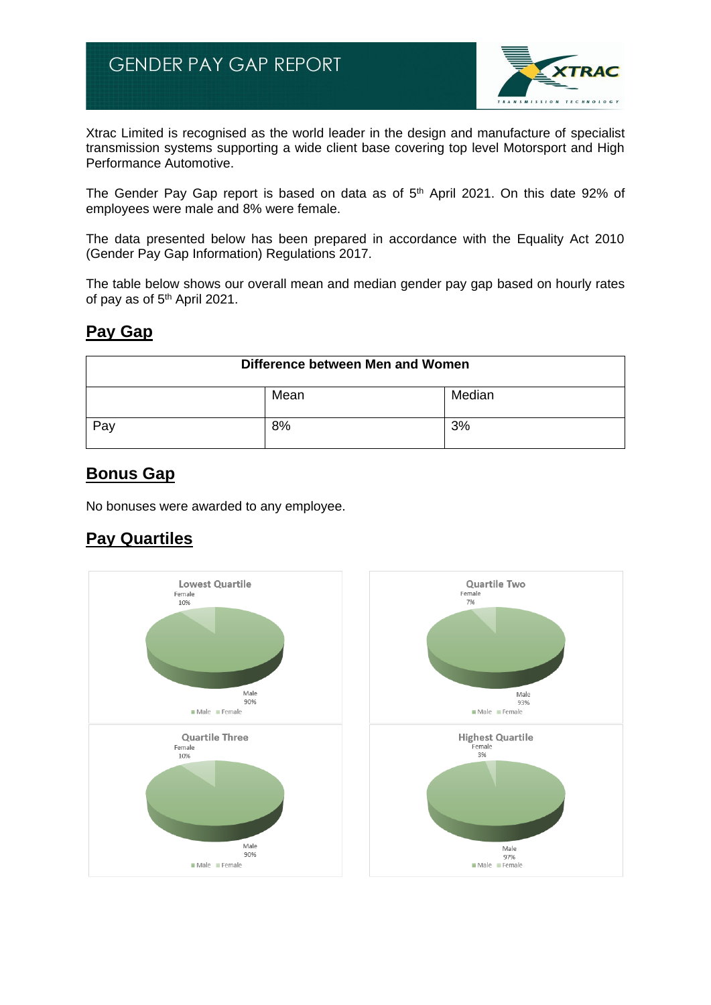

Xtrac Limited is recognised as the world leader in the design and manufacture of specialist transmission systems supporting a wide client base covering top level Motorsport and High Performance Automotive.

The Gender Pay Gap report is based on data as of  $5<sup>th</sup>$  April 2021. On this date 92% of employees were male and 8% were female.

The data presented below has been prepared in accordance with the Equality Act 2010 (Gender Pay Gap Information) Regulations 2017.

The table below shows our overall mean and median gender pay gap based on hourly rates of pay as of 5<sup>th</sup> April 2021.

## **Pay Gap**

| Difference between Men and Women |      |        |
|----------------------------------|------|--------|
|                                  | Mean | Median |
| Pay                              | 8%   | 3%     |

## **Bonus Gap**

No bonuses were awarded to any employee.

## **Pay Quartiles**